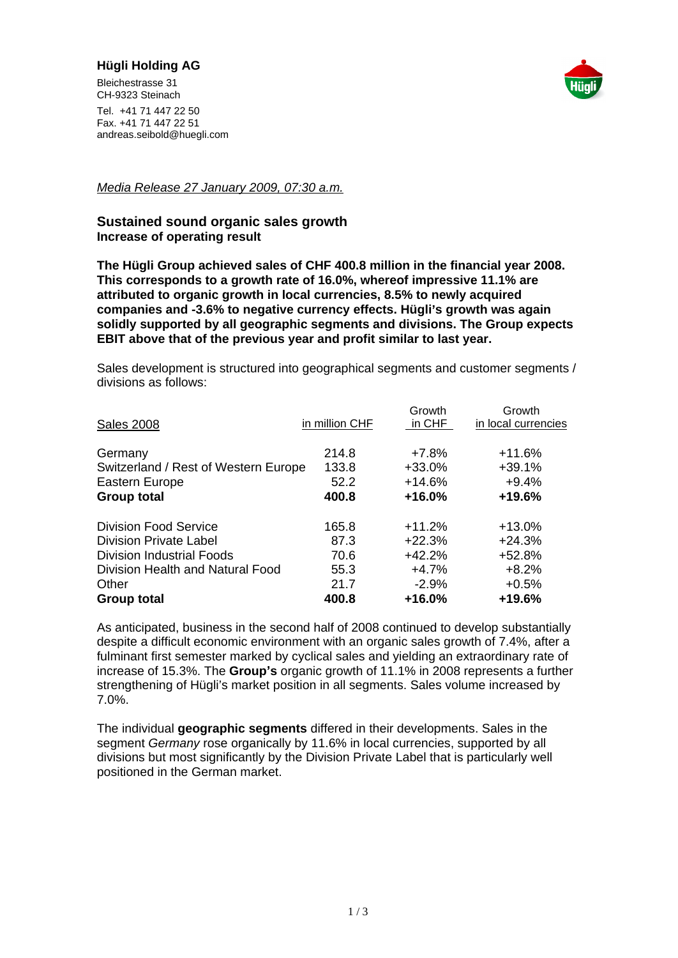## **Hügli Holding AG**

Bleichestrasse 31 and 2008 and 2008 and 2008 and 2008 and 2008 and 2008 and 2008 and 2008 and 2008 and 2008 and 2008 and 2008 and 2008 and 2008 and 2008 and 2008 and 2008 and 2008 and 2008 and 2008 and 2008 and 2008 and 20 CH-9323 Steinach **Christian Christian Christian Christian Christian Christian Christian Christian Christian Christian Christian Christian Christian Christian Christian Christian Christian Christian Christian Christian Chri** 



Tel. +41 71 447 22 50 Fax. +41 71 447 22 51 andreas.seibold@huegli.com

Media Release 27 January 2009, 07:30 a.m.

## **Sustained sound organic sales growth Increase of operating result**

**The Hügli Group achieved sales of CHF 400.8 million in the financial year 2008. This corresponds to a growth rate of 16.0%, whereof impressive 11.1% are attributed to organic growth in local currencies, 8.5% to newly acquired companies and -3.6% to negative currency effects. Hügli s growth was again solidly supported by all geographic segments and divisions. The Group expects EBIT above that of the previous year and profit similar to last year.**

Sales development is structured into geographical segments and customer segments / divisions as follows:

|                                                                              |                | Growth   | Growth              |
|------------------------------------------------------------------------------|----------------|----------|---------------------|
| <b>Sales 2008</b>                                                            | in million CHF | $in$ CHF | in local currencies |
|                                                                              |                |          |                     |
|                                                                              | 214.8          | $+7.8%$  | $+11.6%$            |
|                                                                              | 133.8          | $+33.0%$ | $+39.1%$            |
| Germany<br>Switzerland / Rest of Western Europe<br>Eastern Europe            | 52.2           | +14.6%   | $+9.4%$             |
| <b>Group total</b>                                                           | 400.8          | +16.0%   | +19.6%              |
|                                                                              |                |          |                     |
|                                                                              | 165.8          | $+11.2%$ | $+13.0%$            |
| Division Food Service<br>Division Private Label<br>Division Industrial Foods | 87.3           | $+22.3%$ | $+24.3%$            |
|                                                                              | 70.6           | $+42.2%$ | +52.8%              |
| Division Health and Natural Food                                             | 55.3           | $+4.7%$  | $+8.2%$             |
|                                                                              | 21.7           | $-2.9%$  | $+0.5%$             |
| Other<br>Group total                                                         | 400.8          | +16.0%   | +19.6%              |

As anticipated, business in the second half of 2008 continued to develop substantially despite a difficult economic environment with an organic sales growth of 7.4%, after a fulminant first semester marked by cyclical sales and yielding an extraordinary rate of increase of 15.3%. The **Group s** organic growth of 11.1% in 2008 represents a further strengthening of Hügli's market position in all segments. Sales volume increased by 7.0%.

The individual **geographic segments** differed in their developments. Sales in the segment Germany rose organically by 11.6% in local currencies, supported by all divisions but most significantly by the Division Private Label that is particularly well positioned in the German market.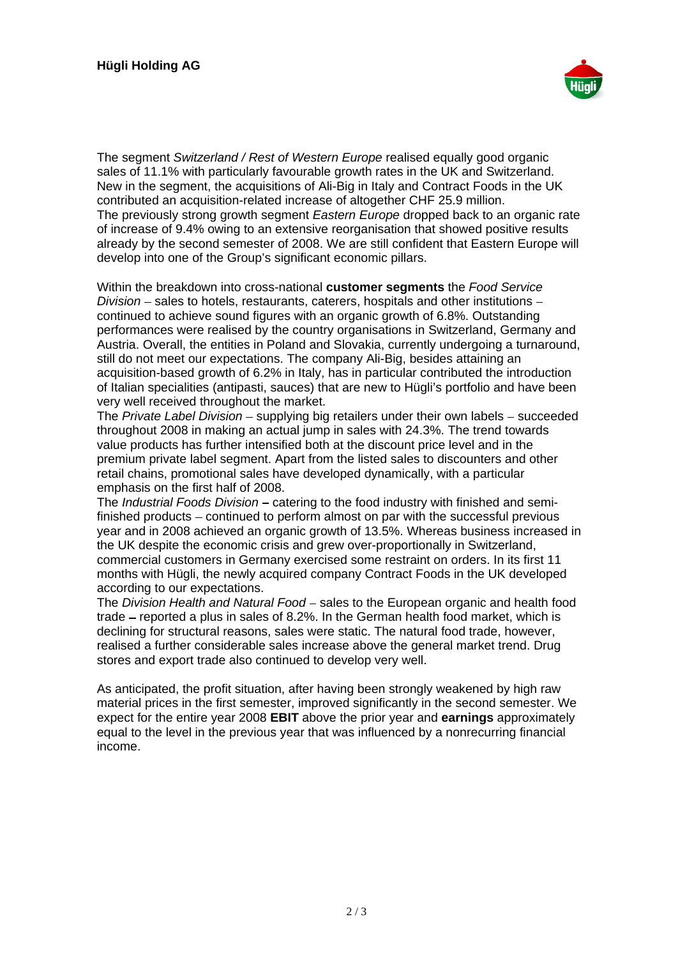

The segment Switzerland / Rest of Western Europe realised equally good organic sales of 11.1% with particularly favourable growth rates in the UK and Switzerland. New in the segment, the acquisitions of Ali-Big in Italy and Contract Foods in the UK contributed an acquisition-related increase of altogether CHF 25.9 million. The previously strong growth segment Eastern Europe dropped back to an organic rate of increase of 9.4% owing to an extensive reorganisation that showed positive results already by the second semester of 2008. We are still confident that Eastern Europe will develop into one of the Group's significant economic pillars.

Within the breakdown into cross-national **customer segments** the Food Service  $Division$  – sales to hotels, restaurants, caterers, hospitals and other institutions – continued to achieve sound figures with an organic growth of 6.8%. Outstanding performances were realised by the country organisations in Switzerland, Germany and Austria. Overall, the entities in Poland and Slovakia, currently undergoing a turnaround, still do not meet our expectations. The company Ali-Big, besides attaining an acquisition-based growth of 6.2% in Italy, has in particular contributed the introduction of Italian specialities (antipasti, sauces) that are new to Hügli's portfolio and have been very well received throughout the market.

The Private Label Division – supplying big retailers under their own labels – succeeded throughout 2008 in making an actual jump in sales with 24.3%. The trend towards value products has further intensified both at the discount price level and in the premium private label segment. Apart from the listed sales to discounters and other retail chains, promotional sales have developed dynamically, with a particular emphasis on the first half of 2008.

The *Industrial Foods Division* – catering to the food industry with finished and semifinished products – continued to perform almost on par with the successful previous year and in 2008 achieved an organic growth of 13.5%. Whereas business increased in the UK despite the economic crisis and grew over-proportionally in Switzerland, commercial customers in Germany exercised some restraint on orders. In its first 11 months with Hügli, the newly acquired company Contract Foods in the UK developed according to our expectations.

The Division Health and Natural Food - sales to the European organic and health food trade  $-$  reported a plus in sales of 8.2%. In the German health food market, which is declining for structural reasons, sales were static. The natural food trade, however, realised a further considerable sales increase above the general market trend. Drug stores and export trade also continued to develop very well.

As anticipated, the profit situation, after having been strongly weakened by high raw material prices in the first semester, improved significantly in the second semester. We expect for the entire year 2008 **EBIT** above the prior year and **earnings** approximately equal to the level in the previous year that was influenced by a nonrecurring financial income.